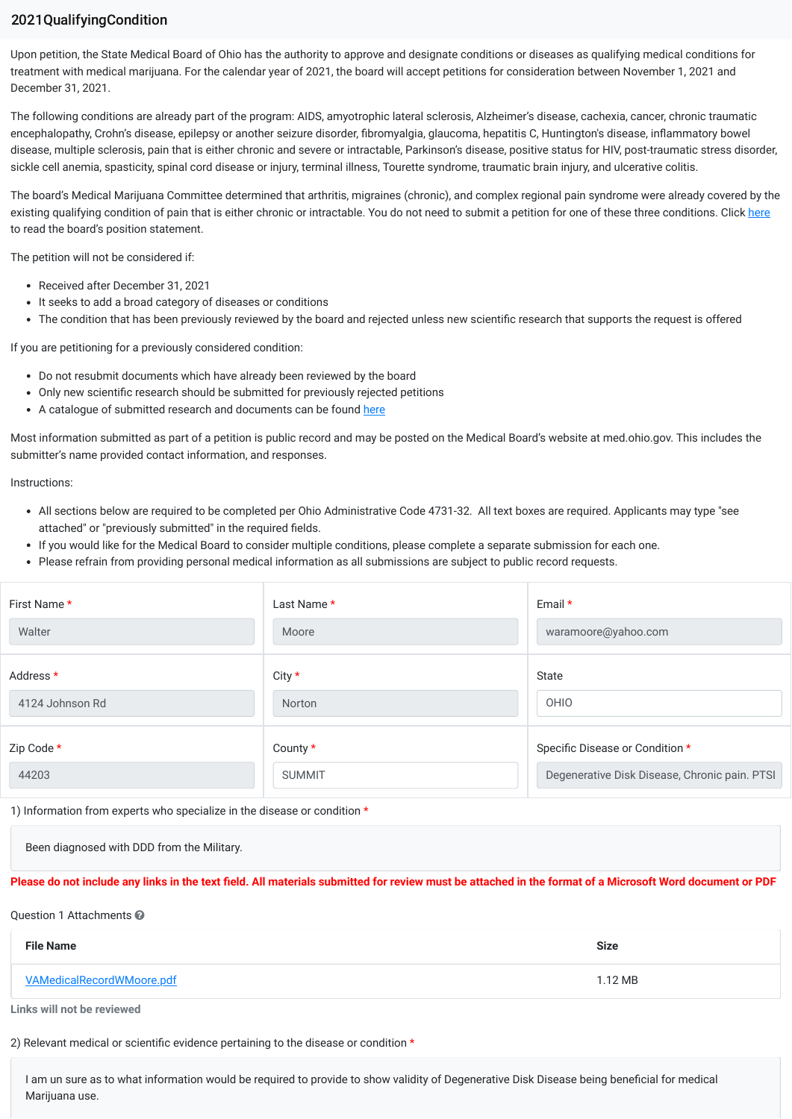## 2021QualifyingCondition

Upon petition, the State Medical Board of Ohio has the authority to approve and designate conditions or diseases as qualifying medical conditions for treatment with medical marijuana. For the calendar year of 2021, the board will accept petitions for consideration between November 1, 2021 and December 31, 2021.

The following conditions are already part of the program: AIDS, amyotrophic lateral sclerosis, Alzheimer's disease, cachexia, cancer, chronic traumatic encephalopathy, Crohn's disease, epilepsy or another seizure disorder, fibromyalgia, glaucoma, hepatitis C, Huntington's disease, inflammatory bowel disease, multiple sclerosis, pain that is either chronic and severe or intractable, Parkinson's disease, positive status for HIV, post-traumatic stress disorder, sickle cell anemia, spasticity, spinal cord disease or injury, terminal illness, Tourette syndrome, traumatic brain injury, and ulcerative colitis.

The board's Medical Marijuana Committee determined that arthritis, migraines (chronic), and complex regional pain syndrome were already covered by the existing qualifying condition of pain that is either chronic or intractable. You do not need to submit a petition for one of these three conditions. Click here to read the board's position statement.

The petition will not be considered if:

- Received after December 31, 2021
- It seeks to add a broad category of diseases or conditions
- The condition that has been previously reviewed by the board and rejected unless new scientific research that supports the request is offered

If you are petitioning for a previously considered condition:

- Do not resubmit documents which have already been reviewed by the board
- Only new scientific research should be submitted for previously rejected petitions
- A catalogue of submitted research and documents can be found here

Most information submitted as part of a petition is public record and may be posted on the Medical Board's website at med.ohio.gov. This includes the submitter's name provided contact information, and responses.

Instructions:

- All sections below are required to be completed per Ohio Administrative Code 4731-32. All text boxes are required. Applicants may type "see attached" or "previously submitted" in the required fields.
- If you would like for the Medical Board to consider multiple conditions, please complete a separate submission for each one.
- Please refrain from providing personal medical information as all submissions are subject to public record requests.

| First Name *    | Last Name *    | Email $*$                                     |
|-----------------|----------------|-----------------------------------------------|
| Walter          | Moore          | waramoore@yahoo.com                           |
| Address *       | City *         | State                                         |
| 4124 Johnson Rd | Norton         | OHIO                                          |
| Zip Code *      | County $\star$ | Specific Disease or Condition *               |
| 44203           | <b>SUMMIT</b>  | Degenerative Disk Disease, Chronic pain. PTSI |

1) Information from experts who specialize in the disease or condition \*

Been diagnosed with DDD from the Military.

## **Please do not include any links in the text field. All materials submitted for review must be attached in the format of a Microsoft Word document or PDF**

## Question 1 Attachments <sup>2</sup>

| <b>File Name</b>                 | <b>Size</b> |
|----------------------------------|-------------|
| <b>VAMedicalRecordWMoore.pdf</b> | 1.12 MB     |

**Links will not be reviewed**

2) Relevant medical or scientific evidence pertaining to the disease or condition \*

I am un sure as to what information would be required to provide to show validity of Degenerative Disk Disease being beneficial for medical Marijuana use.